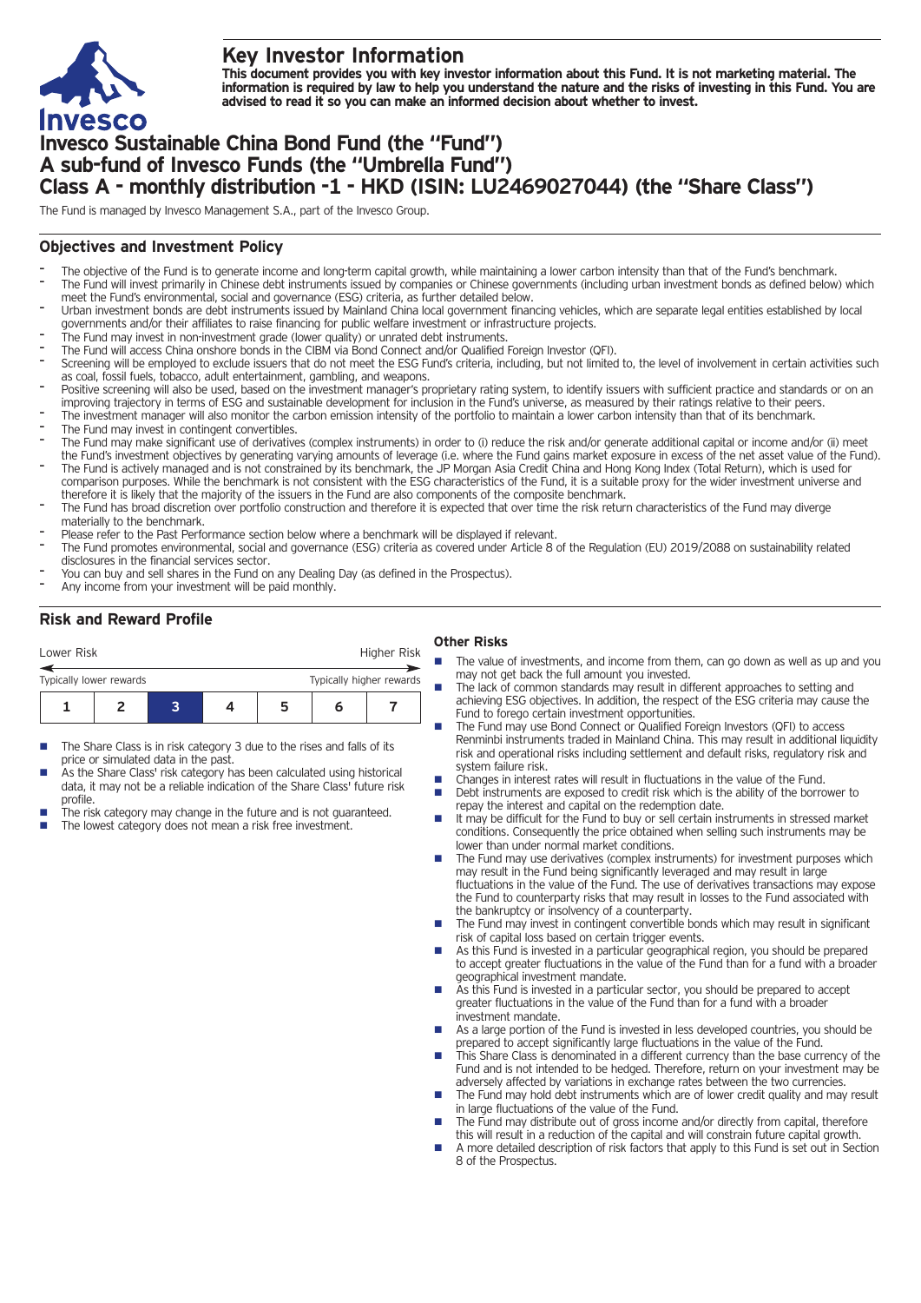

# **Key Investor Information**

This document provides you with key investor information about this Fund. It is not marketing material. The information is required by law to help you understand the nature and the risks of investing in this Fund. You are **advised to read it so you can make an informed decision about whether to invest.**

# **Invesco Sustainable China Bond Fund (the "Fund") A sub-fund of Invesco Funds (the "Umbrella Fund") Class A - monthly distribution -1 - HKD (ISIN: LU2469027044) (the "Share Class")**

The Fund is managed by Invesco Management S.A., part of the Invesco Group.

## **Objectives and Investment Policy**

- The objective of the Fund is to generate income and long-term capital growth, while maintaining a lower carbon intensity than that of the Fund's benchmark. The Fund will invest primarily in Chinese debt instruments issued by companies or Chinese governments (including urban investment bonds as defined below) which meet the Fund's environmental, social and governance (ESG) criteria, as further detailed below.
- Urban investment bonds are debt instruments issued by Mainland China local government financing vehicles, which are separate legal entities established by local governments and/or their affiliates to raise financing for public welfare investment or infrastructure projects.
- The Fund may invest in non-investment grade (lower quality) or unrated debt instruments.
- The Fund will access China onshore bonds in the CIBM via Bond Connect and/or Qualified Foreign Investor (QFI).
- Screening will be employed to exclude issuers that do not meet the ESG Fund's criteria, including, but not limited to, the level of involvement in certain activities such as coal, fossil fuels, tobacco, adult entertainment, gambling, and weapons.
- Positive screening will also be used, based on the investment manager's proprietary rating system, to identify issuers with sufficient practice and standards or on an improving trajectory in terms of ESG and sustainable development for inclusion in the Fund's universe, as measured by their ratings relative to their peers.
- The investment manager will also monitor the carbon emission intensity of the portfolio to maintain a lower carbon intensity than that of its benchmark.
- The Fund may invest in contingent convertibles.
- The Fund may make significant use of derivatives (complex instruments) in order to (i) reduce the risk and/or generate additional capital or income and/or (ii) meet the Fund's investment objectives by generating varying amounts of leverage (i.e. where the Fund gains market exposure in excess of the net asset value of the Fund).
- The Fund is actively managed and is not constrained by its benchmark, the JP Morgan Asia Credit China and Hong Kong Index (Total Return), which is used for comparison purposes. While the benchmark is not consistent with the ESG characteristics of the Fund, it is a suitable proxy for the wider investment universe and therefore it is likely that the majority of the issuers in the Fund are also components of the composite benchmark.
- The Fund has broad discretion over portfolio construction and therefore it is expected that over time the risk return characteristics of the Fund may diverge materially to the benchmark.
- Please refer to the Past Performance section below where a benchmark will be displayed if relevant.
- The Fund promotes environmental, social and governance (ESG) criteria as covered under Article 8 of the Regulation (EU) 2019/2088 on sustainability related disclosures in the financial services sector.
- You can buy and sell shares in the Fund on any Dealing Day (as defined in the Prospectus).
- Any income from your investment will be paid monthly.

## **Risk and Reward Profile**

| Lower Risk              |  |  |                          | Higher Risk |  |  |  |
|-------------------------|--|--|--------------------------|-------------|--|--|--|
| Typically lower rewards |  |  | Typically higher rewards |             |  |  |  |
|                         |  |  | 5                        |             |  |  |  |

- The Share Class is in risk category 3 due to the rises and falls of its price or simulated data in the past.
- As the Share Class' risk category has been calculated using historical data, it may not be a reliable indication of the Share Class' future risk profile.
- The risk category may change in the future and is not guaranteed.
- The lowest category does not mean a risk free investment.

#### **Other Risks**

- $\blacksquare$  The value of investments, and income from them, can go down as well as up and you may not get back the full amount you invested.
- The lack of common standards may result in different approaches to setting and achieving ESG objectives. In addition, the respect of the ESG criteria may cause the Fund to forego certain investment opportunities.
- n The Fund may use Bond Connect or Qualified Foreign Investors (QFI) to access Renminbi instruments traded in Mainland China. This may result in additional liquidity risk and operational risks including settlement and default risks, regulatory risk and system failure risk.
- Changes in interest rates will result in fluctuations in the value of the Fund.
- Debt instruments are exposed to credit risk which is the ability of the borrower to repay the interest and capital on the redemption date.
- It may be difficult for the Fund to buy or sell certain instruments in stressed market conditions. Consequently the price obtained when selling such instruments may be lower than under normal market conditions.
- The Fund may use derivatives (complex instruments) for investment purposes which may result in the Fund being significantly leveraged and may result in large fluctuations in the value of the Fund. The use of derivatives transactions may expose the Fund to counterparty risks that may result in losses to the Fund associated with the bankruptcy or insolvency of a counterparty.
- $\blacksquare$  The Fund may invest in contingent convertible bonds which may result in significant risk of capital loss based on certain trigger events.
- As this Fund is invested in a particular geographical region, you should be prepared to accept greater fluctuations in the value of the Fund than for a fund with a broader geographical investment mandate.
- As this Fund is invested in a particular sector, you should be prepared to accept greater fluctuations in the value of the Fund than for a fund with a broader investment mandate.
- As a large portion of the Fund is invested in less developed countries, you should be prepared to accept significantly large fluctuations in the value of the Fund.
- This Share Class is denominated in a different currency than the base currency of the Fund and is not intended to be hedged. Therefore, return on your investment may be adversely affected by variations in exchange rates between the two currencies.
- The Fund may hold debt instruments which are of lower credit quality and may result in large fluctuations of the value of the Fund.
- The Fund may distribute out of gross income and/or directly from capital, therefore this will result in a reduction of the capital and will constrain future capital growth.
- A more detailed description of risk factors that apply to this Fund is set out in Section 8 of the Prospectus.